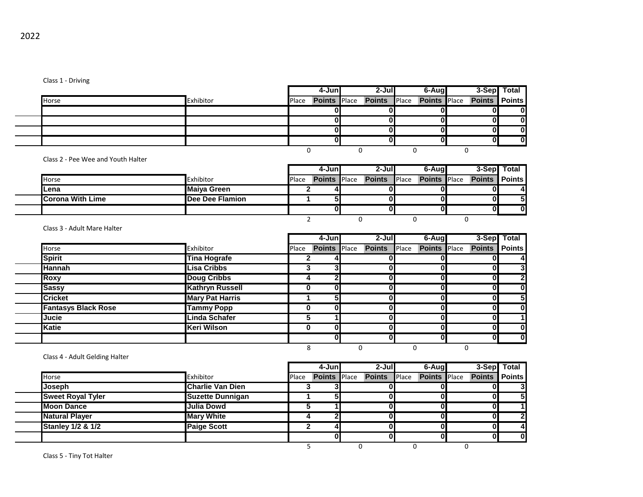|       |           |       | 4-Juni | $2-J$ ull                                            | 6-Augl |  | 3-Sep Total |
|-------|-----------|-------|--------|------------------------------------------------------|--------|--|-------------|
| Horse | Exhibitor | Place |        | Points Place Points Place Points Place Points Points |        |  |             |
|       |           |       |        |                                                      |        |  |             |
|       |           |       |        |                                                      |        |  |             |
|       |           |       |        |                                                      |        |  |             |
|       |           |       |        |                                                      |        |  |             |
|       |           |       |        |                                                      |        |  |             |

Class 2 - Pee Wee and Youth Halter

|                          |                    |              | 4-Junl              | $2-J$ ul            | 6-Augl              |                      | 3-Sep Total    |
|--------------------------|--------------------|--------------|---------------------|---------------------|---------------------|----------------------|----------------|
| Horse                    | Exhibitor          | <b>Place</b> | <b>Points</b> Place | <b>Points</b> Place | <b>Points</b> Place | <b>Points Points</b> |                |
| lLena                    | <b>Maiya Green</b> |              |                     |                     |                     | UΙ                   | 41             |
| <b>ICorona With Lime</b> | Dee Dee Flamion    |              |                     |                     |                     | OI                   | 5 <sub>l</sub> |
|                          |                    |              |                     |                     |                     | OΙ                   | 0I             |
|                          |                    |              |                     |                     |                     |                      |                |

Class 3 - Adult Mare Halter

|                            |                        |       | 4-Junl              | $2 -$ Jul     |       | 6-Aug               |               | 3-Sep Total    |
|----------------------------|------------------------|-------|---------------------|---------------|-------|---------------------|---------------|----------------|
| Horse                      | Exhibitor              | Place | <b>Points</b> Place | <b>Points</b> | Place | <b>Points</b> Place | <b>Points</b> | <b>Points</b>  |
| <b>Spirit</b>              | <b>Tina Hografe</b>    |       |                     |               |       |                     |               | 4              |
| <b>Hannah</b>              | <b>Lisa Cribbs</b>     | J.    | 3                   | N             |       |                     | $\mathbf{0}$  | 3              |
| <b>Roxy</b>                | <b>Doug Cribbs</b>     |       |                     |               |       |                     | 0             | $\overline{2}$ |
| Sassy                      | <b>Kathryn Russell</b> |       | ΩI                  | N             |       | U                   | 0             | $\mathbf 0$    |
| <b>Cricket</b>             | <b>Mary Pat Harris</b> |       |                     | N             |       |                     | 0             | 5              |
| <b>Fantasys Black Rose</b> | <b>Tammy Popp</b>      |       | ωı                  |               |       |                     |               | $\mathbf 0$    |
| <b>Jucie</b>               | <b>Linda Schafer</b>   |       |                     | ŋ             |       |                     | 0             | $\mathbf{1}$   |
| <b>Katie</b>               | <b>Keri Wilson</b>     |       | nl                  |               |       | <sup>0</sup>        | 0             | $\mathbf 0$    |
|                            |                        |       |                     | n             |       |                     | 0             | $\mathbf 0$    |
|                            |                        |       |                     |               |       |                     |               |                |

Class 4 - Adult Gelding Halter

|                              |                         |       | 4-Jun               | $2-J$ ul            | 6-Aug               | 3-Sep                | Total          |
|------------------------------|-------------------------|-------|---------------------|---------------------|---------------------|----------------------|----------------|
| Horse                        | Exhibitor               | Place | <b>Points</b> Place | <b>Points</b> Place | <b>Points</b> Place | <b>Points Points</b> |                |
| <b>Joseph</b>                | <b>Charlie Van Dien</b> |       |                     |                     |                     |                      | 3 <sub>l</sub> |
| <b>Sweet Royal Tyler</b>     | <b>Suzette Dunnigan</b> |       |                     |                     |                     |                      | 5 <sub>l</sub> |
| <b>Moon Dance</b>            | <b>Julia Dowd</b>       |       |                     |                     |                     |                      |                |
| <b>Natural Player</b>        | <b>Mary White</b>       |       |                     |                     |                     | o                    | $\overline{2}$ |
| <b>Stanley 1/2 &amp; 1/2</b> | <b>Paige Scott</b>      |       |                     |                     |                     | OI                   | 4              |
|                              |                         |       |                     |                     |                     | N                    | $\mathbf{0}$   |
|                              |                         |       |                     |                     |                     |                      |                |

Class 5 - Tiny Tot Halter

 $\overline{a}$ 

 $\overline{\phantom{a}}$ 

Class 1 - Driving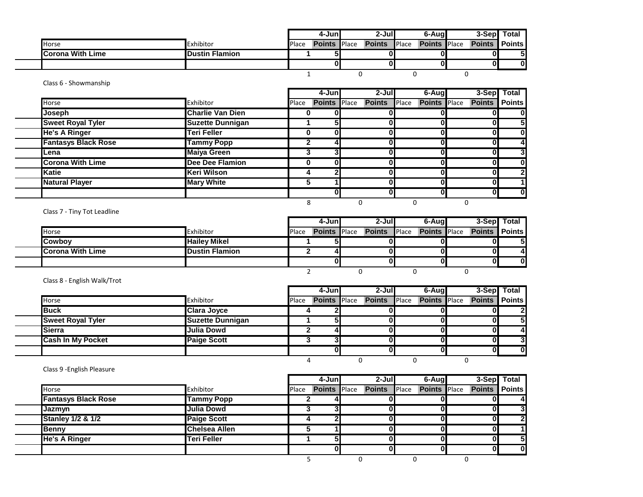|                         |                       |       | 4-Juni              | 2-Jull        |       | 6-Aug               |                      | 3-Sepl Total |
|-------------------------|-----------------------|-------|---------------------|---------------|-------|---------------------|----------------------|--------------|
| Horse                   | Exhibitor             | Place | <b>Points Place</b> | <b>Points</b> | Place | <b>Points</b> Place | <b>Points Points</b> |              |
| <b>Corona With Lime</b> | <b>Dustin Flamion</b> |       |                     |               |       | 0                   |                      |              |
|                         |                       |       |                     |               |       |                     |                      |              |
|                         |                       |       |                     |               |       |                     |                      |              |

## Class 6 - Showmanship

|                            |                         |       | 4-Jun               | $2-Jul$       |              | 6-Aug               |   | $3-Sep$       | Total         |
|----------------------------|-------------------------|-------|---------------------|---------------|--------------|---------------------|---|---------------|---------------|
| Horse                      | Exhibitor               | Place | <b>Points Place</b> | <b>Points</b> | <b>Place</b> | <b>Points</b> Place |   | <b>Points</b> | <b>Points</b> |
| Joseph                     | <b>Charlie Van Dien</b> | 0     |                     |               |              |                     |   |               | 0             |
| <b>Sweet Royal Tyler</b>   | <b>Suzette Dunnigan</b> |       |                     |               |              | ŋ                   |   |               | 5             |
| <b>He's A Ringer</b>       | Teri Feller             | 0     |                     |               |              | 0                   |   | 0             | $\bf{0}$      |
| <b>Fantasys Black Rose</b> | <b>Tammy Popp</b>       |       |                     |               |              | 0                   |   | 0             | 4             |
| Lena                       | <b>Maiya Green</b>      | 3     |                     |               |              | O                   |   | 0             | 3             |
| <b>Corona With Lime</b>    | <b>Dee Dee Flamion</b>  | 0     |                     |               |              | U                   |   | 0             | $\bf{0}$      |
| <b>Katie</b>               | Keri Wilson             |       |                     |               |              | U                   |   | 0             | $\mathbf{2}$  |
| <b>Natural Player</b>      | <b>Mary White</b>       | 5     |                     |               |              | Λ                   |   |               |               |
|                            |                         |       |                     |               |              | O                   |   | O             | $\bf{0}$      |
|                            |                         | 8     |                     |               |              |                     | 0 |               |               |

Class 7 - Tiny Tot Leadline

|                         |                        |              | 4-Junl | 2-Jull                                 | 6-Aug |                      | 3-Sep Total |
|-------------------------|------------------------|--------------|--------|----------------------------------------|-------|----------------------|-------------|
| Horse                   | Exhibitor              | <b>Place</b> |        | Points Place Points Place Points Place |       | <b>Points Points</b> |             |
| <b>Cowboy</b>           | <b>Hailey Mikel</b>    |              |        |                                        |       |                      |             |
| <b>Corona With Lime</b> | <b>IDustin Flamion</b> |              |        |                                        |       |                      |             |
|                         |                        |              |        |                                        |       |                      | n           |
|                         |                        |              |        |                                        |       |                      |             |

Class 8 - English Walk/Trot

|                          |                         |       | 4-Jun               | $2-Jul$       |              | 6-Aug               | 3-Sep Total   |              |
|--------------------------|-------------------------|-------|---------------------|---------------|--------------|---------------------|---------------|--------------|
| <b>Horse</b>             | Exhibitor               | Place | <b>Points</b> Place | <b>Points</b> | <b>Place</b> | <b>Points</b> Place | Points Points |              |
| <b>Buck</b>              | <b>Clara Joyce</b>      |       |                     |               |              |                     |               | $\mathbf{z}$ |
| <b>Sweet Royal Tyler</b> | <b>Suzette Dunnigan</b> |       |                     |               |              |                     |               | 51           |
| <b>Sierra</b>            | Julia Dowd              |       |                     |               |              |                     |               | -4           |
| <b>Cash In My Pocket</b> | <b>Paige Scott</b>      |       |                     |               |              |                     |               | $\mathbf{3}$ |
|                          |                         |       |                     |               |              |                     |               | $\bf{0}$     |
|                          |                         |       |                     |               |              |                     |               |              |

Class 9 -English Pleasure

|                              |                    |       | 4-Juni              | $2 -$ Jul     |              | 6-Aug               | 3-Sep Total   |               |
|------------------------------|--------------------|-------|---------------------|---------------|--------------|---------------------|---------------|---------------|
| Horse                        | Exhibitor          | Place | <b>Points</b> Place | <b>Points</b> | <b>Place</b> | <b>Points</b> Place | <b>Points</b> | <b>Points</b> |
| <b>Fantasys Black Rose</b>   | <b>Tammy Popp</b>  |       |                     |               |              |                     |               |               |
| Jazmyn                       | Julia Dowd         |       | ◠                   |               |              |                     |               | 3             |
| <b>Stanley 1/2 &amp; 1/2</b> | <b>Paige Scott</b> |       | ച                   |               |              |                     |               | ŋ             |
| <b>Benny</b>                 | Chelsea Allen      |       |                     |               |              |                     |               |               |
| <b>He's A Ringer</b>         | <b>Teri Feller</b> |       | 51                  |               |              |                     |               | -5I           |
|                              |                    |       | ΟI                  |               |              |                     |               | 0l            |
|                              |                    |       |                     |               |              |                     |               |               |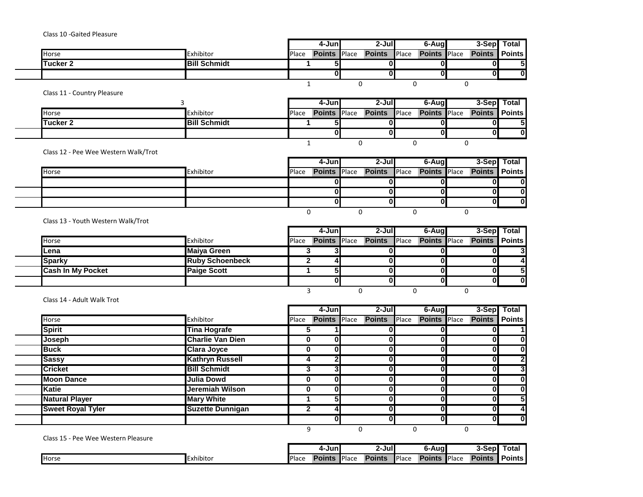Class 10 -Gaited Pleasure

|          |                     |              | 4-Junl              | 2-Jul         |       | 6-Augl              | 3-Sepl Total  |               |
|----------|---------------------|--------------|---------------------|---------------|-------|---------------------|---------------|---------------|
| Horse    | Exhibitor           | <b>Place</b> | <b>Points</b> Place | <b>Points</b> | Place | <b>Points</b> Place | <b>Points</b> | <b>Points</b> |
| Tucker 2 | <b>Bill Schmidt</b> |              |                     |               |       |                     | 01            |               |
|          |                     |              |                     |               |       |                     | OΙ            | 0             |
|          |                     |              |                     |               |       |                     |               |               |

Class 11 - Country Pleasure

|                  |                     |       | 4-Jun               | 2-Jull        |              | 6-Aug               | 3-Sep Total          |  |
|------------------|---------------------|-------|---------------------|---------------|--------------|---------------------|----------------------|--|
| <b>Horse</b>     | Exhibitor           | Place | <b>Points</b> Place | <b>Points</b> | <b>Place</b> | <b>Points</b> Place | <b>Points Points</b> |  |
| <b>ITucker 2</b> | <b>Bill Schmidt</b> |       |                     |               |              |                     |                      |  |
|                  |                     |       |                     |               |              | 0                   | o                    |  |
|                  |                     |       |                     |               |              |                     |                      |  |

Class 12 - Pee Wee Western Walk/Trot

|       |           |       | $4$ -Jun            | $2 -$ Jul           | 6-Aug               |                      | 3-Sep Total |
|-------|-----------|-------|---------------------|---------------------|---------------------|----------------------|-------------|
| Horse | Exhibitor | Place | <b>Points</b> Place | <b>Points</b> Place | <b>Points</b> Place | <b>Points</b> Points |             |
|       |           |       |                     |                     |                     |                      | n           |
|       |           |       |                     |                     |                     |                      |             |
|       |           |       |                     |                     |                     | U                    |             |
|       |           |       |                     |                     |                     |                      |             |

Class 13 - Youth Western Walk/Trot

|                          |                        | 4-Junl | $2 -$ Jul                                     | 6-Aug               | 3-Sep Total            |                        |
|--------------------------|------------------------|--------|-----------------------------------------------|---------------------|------------------------|------------------------|
| <b>Horse</b>             | Exhibitor              |        | Place <b>Points</b> Place <b>Points</b> Place | <b>Points</b> Place | <b>Points   Points</b> |                        |
| ILena                    | <b>Maiya Green</b>     |        |                                               |                     |                        |                        |
| Sparky                   | <b>Ruby Schoenbeck</b> |        |                                               |                     |                        | $\boldsymbol{\Lambda}$ |
| <b>Cash In My Pocket</b> | <b>Paige Scott</b>     |        |                                               |                     | 01                     |                        |
|                          |                        |        |                                               |                     |                        | $\bf{0}$               |
|                          |                        |        |                                               |                     |                        |                        |

Class 14 - Adult Walk Trot

|                       |                          |                         |       | 4-Juni              | 2-Jul         |       | 6-Aug               |               | 3-Sep Total    |
|-----------------------|--------------------------|-------------------------|-------|---------------------|---------------|-------|---------------------|---------------|----------------|
| Horse                 |                          | Exhibitor               | Place | <b>Points</b> Place | <b>Points</b> | Place | <b>Points</b> Place | <b>Points</b> | $\vert$ Points |
| <b>Spirit</b>         |                          | <b>Tina Hografe</b>     |       |                     |               |       |                     |               |                |
| Joseph                |                          | <b>Charlie Van Dien</b> |       |                     |               |       |                     |               | 01             |
| <b>Buck</b>           |                          | <b>Clara Joyce</b>      | 0     |                     |               |       |                     |               | 0              |
| <b>Sassy</b>          |                          | <b>Kathryn Russell</b>  |       |                     |               |       |                     |               |                |
| <b>Cricket</b>        |                          | <b>Bill Schmidt</b>     |       |                     |               |       |                     |               |                |
| <b>Moon Dance</b>     |                          | <b>Julia Dowd</b>       | 0     |                     |               |       |                     |               | 01             |
| <b>Katie</b>          |                          | Jeremiah Wilson         | 0     |                     | n             |       |                     |               | Ol             |
| <b>Natural Player</b> |                          | <b>Mary White</b>       |       |                     |               |       |                     |               |                |
|                       | <b>Sweet Royal Tyler</b> | <b>Suzette Dunnigan</b> |       |                     |               |       |                     |               |                |
|                       |                          |                         |       |                     |               |       |                     |               | 0              |
|                       |                          |                         | q     |                     |               |       |                     |               |                |

Class 15 - Pee Wee Western Pleasure

|              |                     |              | 4-Juni |       | 2-Jull        |       | 6-Augl        |              | 3-Sepl        | ⊤ota.         |
|--------------|---------------------|--------------|--------|-------|---------------|-------|---------------|--------------|---------------|---------------|
| <b>Horse</b> | -<br>.<br>Exhibitor | <b>Place</b> | Points | Place | <b>Points</b> | Place | <b>Points</b> | <b>Place</b> | <b>Points</b> | <b>Points</b> |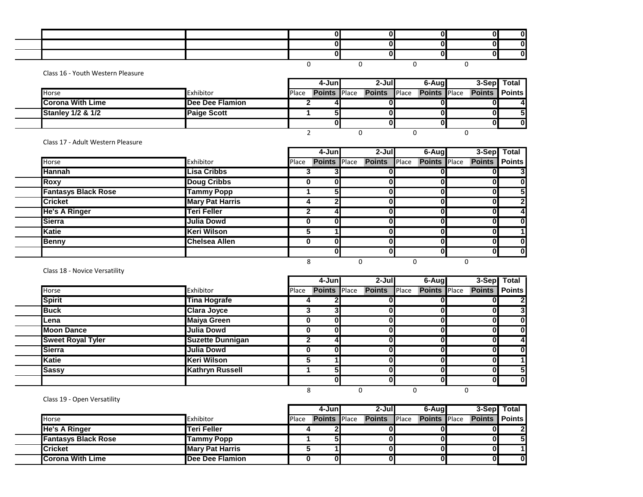Class 16 - Youth Western Pleasure

|                              |                    |       | 4-Juni              | 2-Jull        |               | 6-Aug               |                      | 3-Sep Total |
|------------------------------|--------------------|-------|---------------------|---------------|---------------|---------------------|----------------------|-------------|
| Horse                        | Exhibitor          | Place | <b>Points</b> Place | <b>Points</b> | <b>IPlace</b> | <b>Points</b> Place | <b>Points Points</b> |             |
| <b>Corona With Lime</b>      | Dee Dee Flamion    |       |                     |               |               |                     |                      |             |
| <b>Stanley 1/2 &amp; 1/2</b> | <b>Paige Scott</b> |       |                     |               |               |                     |                      |             |
|                              |                    |       |                     |               |               |                     |                      |             |
|                              |                    |       |                     |               |               |                     |                      |             |

Class 17 - Adult Western Pleasure

|                            |                        |       | 4-Jun               | $2-J$ ul      |       | 6-Aug               |               | 3-Sep Total   |
|----------------------------|------------------------|-------|---------------------|---------------|-------|---------------------|---------------|---------------|
| Horse                      | Exhibitor              | Place | <b>Points</b> Place | <b>Points</b> | Place | <b>Points</b> Place | <b>Points</b> | <b>Points</b> |
| <b>Hannah</b>              | <b>Lisa Cribbs</b>     |       |                     |               |       |                     |               | 3             |
| <b>Roxy</b>                | <b>Doug Cribbs</b>     | 0     |                     |               |       | 0                   | 0             | $\mathbf 0$   |
| <b>Fantasys Black Rose</b> | <b>Tammy Popp</b>      |       |                     |               |       | 0                   | 0             | 5             |
| <b>Cricket</b>             | <b>Mary Pat Harris</b> | 4     |                     |               |       |                     | $\bf{0}$      | $\mathbf{2}$  |
| <b>He's A Ringer</b>       | <b>Teri Feller</b>     |       |                     |               |       | O                   | $\bf{0}$      | 4             |
| <b>Sierra</b>              | Julia Dowd             | 0     |                     |               |       |                     | 0             | $\mathbf 0$   |
| <b>Katie</b>               | Keri Wilson            | 5     |                     |               |       | O                   | 0             | $\mathbf{1}$  |
| <b>Benny</b>               | <b>Chelsea Allen</b>   | 0     |                     |               |       | $\mathbf{0}$        | 0             | $\mathbf 0$   |
|                            |                        |       |                     |               |       | $\mathbf{0}$        | 01            | $\mathbf 0$   |
|                            |                        | 8     |                     |               |       |                     |               |               |

Class 18 - Novice Versatility

 $\overline{\phantom{a}}$ 

|                          |                         |       | 4-Jun               | $2 -$ Jul     |       | 6-Aug               | 3-Sep Total   |                |
|--------------------------|-------------------------|-------|---------------------|---------------|-------|---------------------|---------------|----------------|
| Horse                    | Exhibitor               | Place | <b>Points</b> Place | <b>Points</b> | Place | <b>Points</b> Place | <b>Points</b> | <b>Points</b>  |
| <b>Spirit</b>            | <b>Tina Hografe</b>     |       |                     |               |       |                     |               | $\overline{2}$ |
| <b>Buck</b>              | <b>Clara Joyce</b>      |       |                     |               |       |                     | 01            | 3 <sub>l</sub> |
| Lena                     | <b>Maiya Green</b>      | 0     |                     |               |       | U                   | 01            | $\mathbf{0}$   |
| <b>Moon Dance</b>        | <b>Julia Dowd</b>       | 0     |                     |               |       |                     | 01            | $\mathbf{0}$   |
| <b>Sweet Royal Tyler</b> | <b>Suzette Dunnigan</b> |       |                     |               |       |                     | Ol            | 4              |
| <b>Sierra</b>            | <b>Julia Dowd</b>       | 0     |                     |               |       |                     | 01            | $\mathbf{0}$   |
| <b>Katie</b>             | <b>Keri Wilson</b>      |       |                     |               |       |                     | 0             | 11             |
| <b>Sassy</b>             | <b>Kathryn Russell</b>  |       |                     |               |       |                     | Οl            | 5              |
|                          |                         |       |                     |               |       |                     | ΟI            | $\mathbf{0}$   |
|                          |                         | 8     |                     |               |       |                     |               |                |

Class 19 - Open Versatility

|                            |                        |       | 4-Juni              | $2-J$ ull     |              | 6-Augl              | 3-Sepl Total         |          |
|----------------------------|------------------------|-------|---------------------|---------------|--------------|---------------------|----------------------|----------|
| <b>Horse</b>               | Exhibitor              | Place | <b>Points</b> Place | <b>Points</b> | <b>Place</b> | <b>Points Place</b> | <b>Points Points</b> |          |
| <b>He's A Ringer</b>       | <b>Teri Feller</b>     |       |                     |               |              |                     |                      | າ        |
| <b>Fantasys Black Rose</b> | Tammy Popp             |       |                     |               |              |                     | 01                   | 5        |
| <b>ICricket</b>            | <b>Mary Pat Harris</b> |       |                     |               |              |                     | 01                   |          |
| <b>ICorona With Lime</b>   | Dee Dee Flamion        |       |                     |               |              |                     | 01                   | $\bf{0}$ |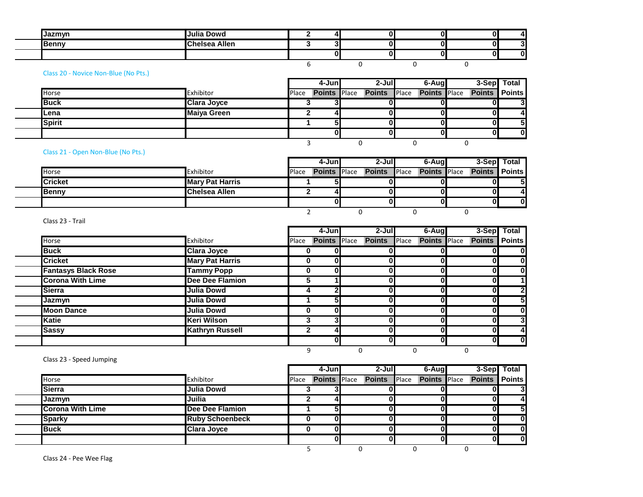| $I2$ m $M2$  | Julia Dowd                      |   | 01 | v |  |
|--------------|---------------------------------|---|----|---|--|
| <b>Benny</b> | ~-<br>Allen<br>حمعامہ<br>ісізеа |   | Ol | 0 |  |
|              |                                 | 0 | Ol | 0 |  |
|              |                                 |   |    |   |  |

## Class 20 - Novice Non-Blue (No Pts.)

|               |                    |       | 4-Jun               | $2 -$ Jul     |       | 6-Aug               | 3-Sep Total   |              |
|---------------|--------------------|-------|---------------------|---------------|-------|---------------------|---------------|--------------|
| <b>Horse</b>  | Exhibitor          | Place | <b>Points</b> Place | <b>Points</b> | Place | <b>Points</b> Place | <b>Points</b> | Points       |
| <b>Buck</b>   | <b>Clara Joyce</b> |       |                     |               |       |                     | OI            | $\mathbf{3}$ |
| ∎Lena         | <b>Maiya Green</b> |       |                     |               |       |                     | OI            | 4            |
| <b>Spirit</b> |                    |       |                     |               |       |                     | OI            | 5            |
|               |                    |       | 01                  |               |       | 0                   |               | $\mathbf 0$  |
|               |                    |       |                     |               |       |                     |               |              |

Class 21 - Open Non-Blue (No Pts.)

|                |                        |       | 4-Juni              | 2-Jull                           | 6-Aug | 3-Sepl Total           |              |
|----------------|------------------------|-------|---------------------|----------------------------------|-------|------------------------|--------------|
| Horse          | Exhibitor              | Place | <b>Points</b> Place | <b>Points Place Points Place</b> |       | <b>Points   Points</b> |              |
| <b>Cricket</b> | <b>Mary Pat Harris</b> |       |                     |                                  |       | O.                     |              |
| <b>Benny</b>   | <b>Chelsea Allen</b>   |       |                     |                                  |       | 01                     | $\mathbf{A}$ |
|                |                        |       | 01                  |                                  |       | OΙ                     | $\bf{0}$     |
|                |                        |       |                     |                                  |       |                        |              |

Class 23 - Trail

|                                    |                        |       | 4-Jun               | $2-J$ ul      | 6-Aug        |                               | 3-Sep Total                |
|------------------------------------|------------------------|-------|---------------------|---------------|--------------|-------------------------------|----------------------------|
| Horse                              | Exhibitor              | Place | <b>Points</b> Place | <b>Points</b> | Place        | <b>Points</b> Place<br>Points | <b>Points</b>              |
| <b>Buck</b>                        | <b>Clara Joyce</b>     | 0     | 0                   |               |              |                               | 0l                         |
| <b>Cricket</b>                     | <b>Mary Pat Harris</b> | 0     | $\bf{0}$            |               | 0            | 0                             | 0<br>0                     |
| <b>Fantasys Black Rose</b>         | <b>Tammy Popp</b>      | 0     | O                   |               | $\mathbf{0}$ | O                             | 0l<br>0                    |
| <b>Corona With Lime</b>            | <b>Dee Dee Flamion</b> | G     |                     |               | $\mathbf{0}$ | $\mathbf{0}$                  | 1<br>0                     |
| Sierra                             | <b>Julia Dowd</b>      | 4     | $\mathbf{2}$        |               | $\mathbf{0}$ | $\bf{0}$                      | $\overline{2}$<br>01       |
| Jazmyn                             | Julia Dowd             |       | 5 <sub>l</sub>      |               | $\mathbf{0}$ | $\bf{0}$                      | 5<br>01                    |
| <b>Moon Dance</b>                  | <b>Julia Dowd</b>      | 0     | $\bf{0}$            |               | 0            | 0                             | 0<br>0                     |
| <b>Katie</b>                       | Keri Wilson            | -3    | 3                   |               | U            |                               | 3<br>0                     |
| <b>Sassy</b>                       | <b>Kathryn Russell</b> | 2     | д                   |               | U            | O                             | $\overline{4}$<br>$\bf{0}$ |
|                                    |                        |       | ŋ                   |               | U            | n                             | 0l<br>01                   |
|                                    |                        | q     |                     | ი             | 0            |                               |                            |
| $\sim$ $\sim$ $\sim$ $\sim$ $\sim$ |                        |       |                     |               |              |                               |                            |

Class 23 - Speed Jumping

|                         |                        |       | 4-Jun               | $2 -$ Jul     |              | 6-Aug               |                      | 3-Sep Total    |
|-------------------------|------------------------|-------|---------------------|---------------|--------------|---------------------|----------------------|----------------|
| Horse                   | Exhibitor              | Place | <b>Points</b> Place | <b>Points</b> | <b>Place</b> | <b>Points</b> Place | <b>Points</b> Points |                |
| <b>Sierra</b>           | <b>Julia Dowd</b>      |       |                     |               |              |                     |                      | 3              |
| IJazmvn                 | Juilia                 |       |                     |               |              |                     |                      | 4              |
| <b>Corona With Lime</b> | Dee Dee Flamion        |       |                     |               |              |                     |                      | 5 <sub>l</sub> |
| <b>Sparky</b>           | <b>Ruby Schoenbeck</b> |       |                     |               |              |                     |                      | 01             |
| <b>Buck</b>             | <b>Clara Joyce</b>     |       |                     |               |              |                     |                      | 0              |
|                         |                        |       |                     |               |              |                     |                      | 01             |
|                         |                        |       |                     |               |              |                     |                      |                |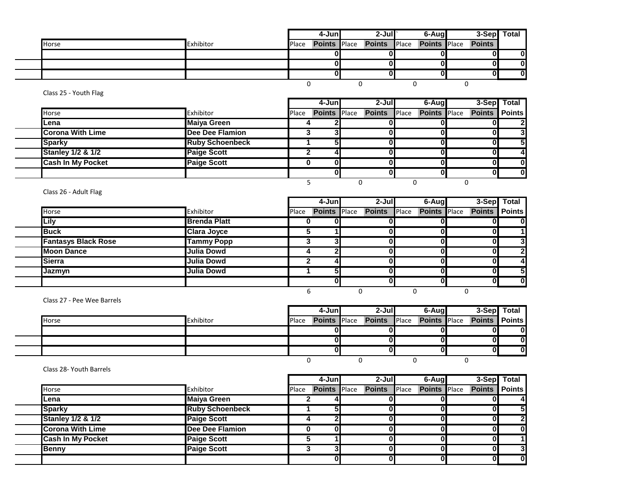|       |           |       | 4-Juni | $2-Jul$                                       | 6-Augl |  | 3-Sep Total |
|-------|-----------|-------|--------|-----------------------------------------------|--------|--|-------------|
| Horse | Exhibitor | Place |        | Points Place Points Place Points Place Points |        |  |             |
|       |           |       |        |                                               |        |  |             |
|       |           |       |        |                                               |        |  |             |
|       |           |       |        |                                               |        |  |             |
|       |           |       |        |                                               |        |  |             |

Class 25 - Youth Flag

|                              |                        |       | 4-Junl              | $2 -$ Jul     |              | 6-Aug               |               | 3-Sep Total  |
|------------------------------|------------------------|-------|---------------------|---------------|--------------|---------------------|---------------|--------------|
| <b>Horse</b>                 | Exhibitor              | Place | <b>Points Place</b> | <b>Points</b> | <b>Place</b> | <b>Points</b> Place | <b>Points</b> | Points       |
| lLena                        | <b>Maiya Green</b>     |       |                     |               |              |                     |               | $\mathbf{2}$ |
| <b>Corona With Lime</b>      | <b>Dee Dee Flamion</b> |       |                     |               |              |                     |               | 3            |
| <b>Sparky</b>                | <b>Ruby Schoenbeck</b> |       |                     |               |              |                     |               | 5            |
| <b>Stanley 1/2 &amp; 1/2</b> | <b>Paige Scott</b>     |       |                     |               |              |                     |               | 4            |
| <b>Cash In My Pocket</b>     | <b>Paige Scott</b>     |       |                     |               |              |                     |               | $\bf{0}$     |
|                              |                        |       |                     |               |              |                     |               | $\Omega$     |
|                              |                        |       |                     |               |              |                     |               |              |

Class 26 - Adult Flag

 $\overline{\phantom{0}}$ 

|                            |                     |       | 4-Jun               | $2-J$ ul      |              | 6-Aug               | 3-Sep Total                   |
|----------------------------|---------------------|-------|---------------------|---------------|--------------|---------------------|-------------------------------|
| Horse                      | Exhibitor           | Place | <b>Points</b> Place | <b>Points</b> | <b>Place</b> | <b>Points</b> Place | <b>Points</b> Points          |
| Lily                       | <b>Brenda Platt</b> |       |                     |               |              |                     | 0I                            |
| <b>Buck</b>                | <b>Clara Joyce</b>  |       |                     |               |              |                     | 11<br>o                       |
| <b>Fantasys Black Rose</b> | <b>Tammy Popp</b>   |       |                     |               |              |                     | 3<br>Οl                       |
| <b>Moon Dance</b>          | Julia Dowd          |       |                     |               |              | U                   | $\overline{2}$<br>01          |
| <b>Sierra</b>              | <b>Julia Dowd</b>   |       |                     |               |              |                     | $\overline{4}$<br>01          |
| <b>Jazmvn</b>              | <b>Julia Dowd</b>   |       |                     |               |              | U                   | 5<br>ΩI                       |
|                            |                     |       |                     |               |              | U                   | $\overline{\mathbf{0}}$<br>ΩI |
|                            |                     |       |                     |               |              |                     |                               |

Class 27 - Pee Wee Barrels

|              |           |              | 4-Junl              | 2-Jull              | 6-Aug               |                      | 3-Sep Total  |
|--------------|-----------|--------------|---------------------|---------------------|---------------------|----------------------|--------------|
| <b>Horse</b> | Exhibitor | <b>Place</b> | <b>Points</b> Place | <b>Points</b> Place | <b>Points</b> Place | <b>Points Points</b> |              |
|              |           |              |                     |                     |                     |                      | $\Omega$     |
|              |           |              |                     |                     |                     | OI                   | 0            |
|              |           |              |                     |                     |                     |                      | <sup>0</sup> |
|              |           |              |                     |                     |                     |                      |              |

Class 28- Youth Barrels

|                              |                        |       | 4-Juni              | $2 -$ Jul     |              | 6-Aug               | 3-Sep Total   |              |
|------------------------------|------------------------|-------|---------------------|---------------|--------------|---------------------|---------------|--------------|
| Horse                        | Exhibitor              | Place | <b>Points</b> Place | <b>Points</b> | <b>Place</b> | <b>Points</b> Place | <b>Points</b> | Points       |
| lLena                        | <b>Maiya Green</b>     |       |                     |               |              |                     |               |              |
| <b>Sparky</b>                | <b>Ruby Schoenbeck</b> |       |                     |               |              |                     |               | 51           |
| <b>Stanley 1/2 &amp; 1/2</b> | <b>Paige Scott</b>     |       | וכ                  |               |              | 0                   |               | וכי          |
| <b>Corona With Lime</b>      | Dee Dee Flamion        |       | 01                  |               |              |                     |               | $\mathbf{0}$ |
| <b>Cash In My Pocket</b>     | <b>Paige Scott</b>     |       |                     |               |              |                     |               |              |
| <b>Benny</b>                 | <b>Paige Scott</b>     |       | ◠                   |               |              |                     |               | 3            |
|                              |                        |       | 0Ι                  |               |              |                     |               | $\bf{0}$     |